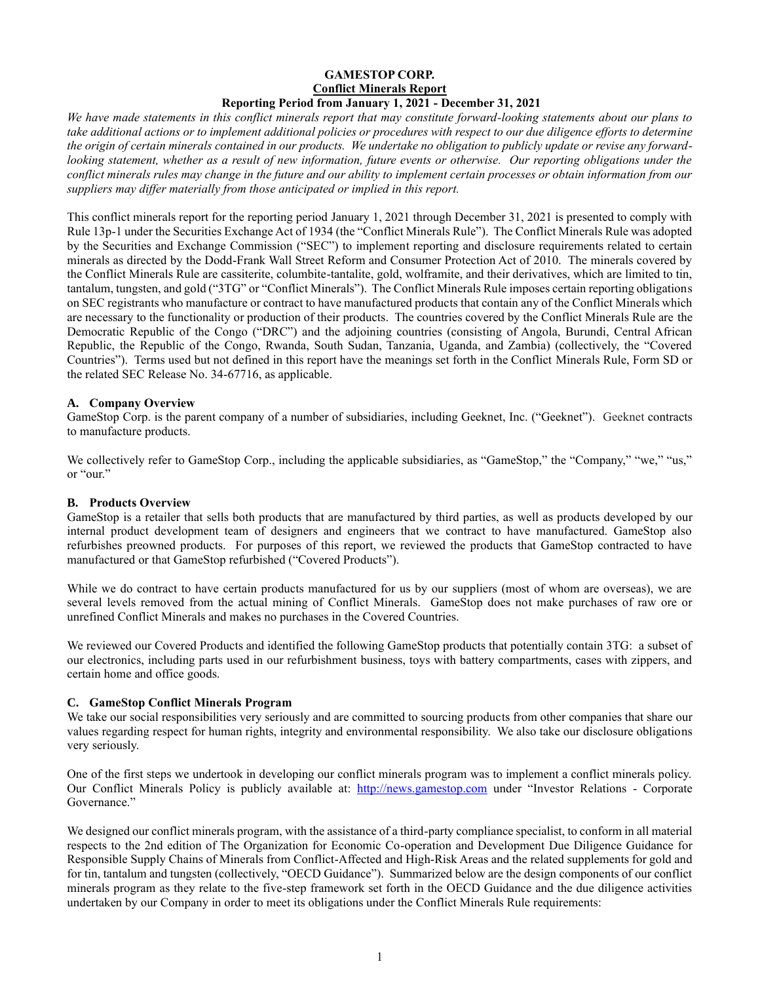#### **GAMESTOP CORP. Conflict Minerals Report Reporting Period from January 1, 2021 - December 31, 2021**

*We have made statements in this conflict minerals report that may constitute forward-looking statements about our plans to take additional actions or to implement additional policies or procedures with respect to our due diligence efforts to determine the origin of certain minerals contained in our products. We undertake no obligation to publicly update or revise any forwardlooking statement, whether as a result of new information, future events or otherwise. Our reporting obligations under the conflict minerals rules may change in the future and our ability to implement certain processes or obtain information from our suppliers may differ materially from those anticipated or implied in this report.*

This conflict minerals report for the reporting period January 1, 2021 through December 31, 2021 is presented to comply with Rule 13p-1 under the Securities Exchange Act of 1934 (the "Conflict Minerals Rule"). The Conflict Minerals Rule was adopted by the Securities and Exchange Commission ("SEC") to implement reporting and disclosure requirements related to certain minerals as directed by the Dodd-Frank Wall Street Reform and Consumer Protection Act of 2010. The minerals covered by the Conflict Minerals Rule are cassiterite, columbite-tantalite, gold, wolframite, and their derivatives, which are limited to tin, tantalum, tungsten, and gold ("3TG" or "Conflict Minerals"). The Conflict Minerals Rule imposes certain reporting obligations on SEC registrants who manufacture or contract to have manufactured products that contain any of the Conflict Minerals which are necessary to the functionality or production of their products. The countries covered by the Conflict Minerals Rule are the Democratic Republic of the Congo ("DRC") and the adjoining countries (consisting of Angola, Burundi, Central African Republic, the Republic of the Congo, Rwanda, South Sudan, Tanzania, Uganda, and Zambia) (collectively, the "Covered Countries"). Terms used but not defined in this report have the meanings set forth in the Conflict Minerals Rule, Form SD or the related SEC Release No. 34-67716, as applicable.

# **A. Company Overview**

GameStop Corp. is the parent company of a number of subsidiaries, including Geeknet, Inc. ("Geeknet"). Geeknet contracts to manufacture products.

We collectively refer to GameStop Corp., including the applicable subsidiaries, as "GameStop," the "Company," "we," "us," or "our."

#### **B. Products Overview**

GameStop is a retailer that sells both products that are manufactured by third parties, as well as products developed by our internal product development team of designers and engineers that we contract to have manufactured. GameStop also refurbishes preowned products. For purposes of this report, we reviewed the products that GameStop contracted to have manufactured or that GameStop refurbished ("Covered Products").

While we do contract to have certain products manufactured for us by our suppliers (most of whom are overseas), we are several levels removed from the actual mining of Conflict Minerals. GameStop does not make purchases of raw ore or unrefined Conflict Minerals and makes no purchases in the Covered Countries.

We reviewed our Covered Products and identified the following GameStop products that potentially contain 3TG: a subset of our electronics, including parts used in our refurbishment business, toys with battery compartments, cases with zippers, and certain home and office goods.

# **C. GameStop Conflict Minerals Program**

We take our social responsibilities very seriously and are committed to sourcing products from other companies that share our values regarding respect for human rights, integrity and environmental responsibility. We also take our disclosure obligations very seriously.

One of the first steps we undertook in developing our conflict minerals program was to implement a conflict minerals policy. Our Conflict Minerals Policy is publicly available at: http://news.gamestop.com under "Investor Relations - Corporate Governance."

We designed our conflict minerals program, with the assistance of a third-party compliance specialist, to conform in all material respects to the 2nd edition of The Organization for Economic Co-operation and Development Due Diligence Guidance for Responsible Supply Chains of Minerals from Conflict-Affected and High-Risk Areas and the related supplements for gold and for tin, tantalum and tungsten (collectively, "OECD Guidance"). Summarized below are the design components of our conflict minerals program as they relate to the five-step framework set forth in the OECD Guidance and the due diligence activities undertaken by our Company in order to meet its obligations under the Conflict Minerals Rule requirements: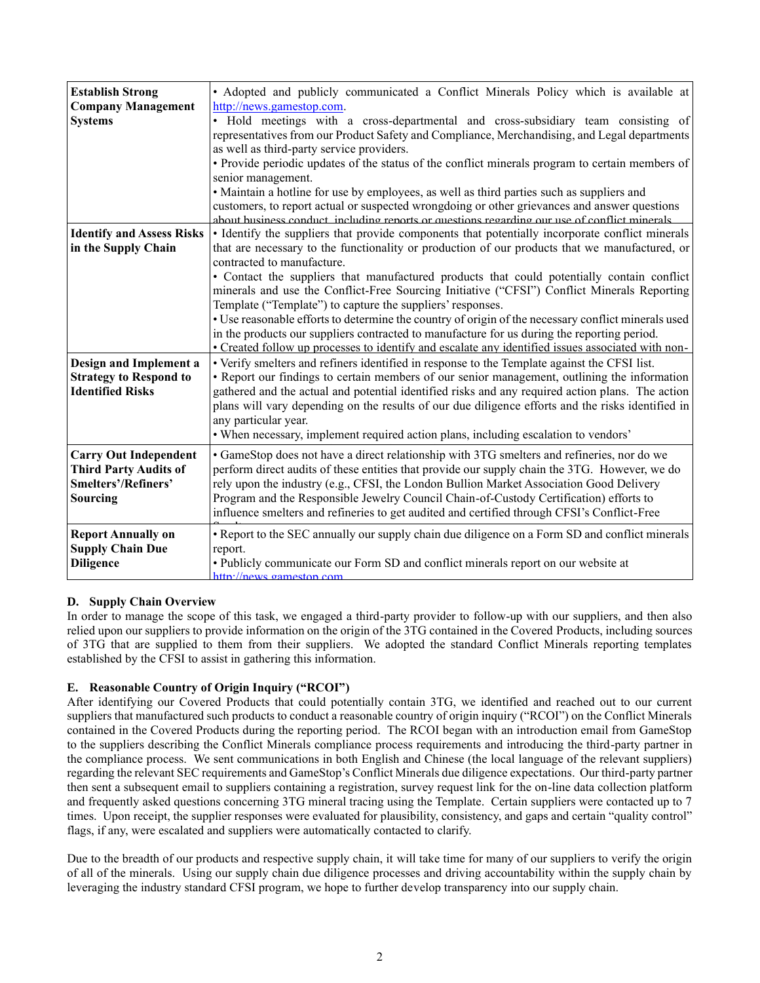| <b>Establish Strong</b><br><b>Company Management</b><br><b>Systems</b>                          | • Adopted and publicly communicated a Conflict Minerals Policy which is available at<br>http://news.gamestop.com.<br>· Hold meetings with a cross-departmental and cross-subsidiary team consisting of<br>representatives from our Product Safety and Compliance, Merchandising, and Legal departments<br>as well as third-party service providers.<br>· Provide periodic updates of the status of the conflict minerals program to certain members of<br>senior management.<br>• Maintain a hotline for use by employees, as well as third parties such as suppliers and<br>customers, to report actual or suspected wrongdoing or other grievances and answer questions<br>about business conduct including reports or questions regarding our use of conflict minerals                             |
|-------------------------------------------------------------------------------------------------|-------------------------------------------------------------------------------------------------------------------------------------------------------------------------------------------------------------------------------------------------------------------------------------------------------------------------------------------------------------------------------------------------------------------------------------------------------------------------------------------------------------------------------------------------------------------------------------------------------------------------------------------------------------------------------------------------------------------------------------------------------------------------------------------------------|
| <b>Identify and Assess Risks</b><br>in the Supply Chain                                         | • Identify the suppliers that provide components that potentially incorporate conflict minerals<br>that are necessary to the functionality or production of our products that we manufactured, or<br>contracted to manufacture.<br>• Contact the suppliers that manufactured products that could potentially contain conflict<br>minerals and use the Conflict-Free Sourcing Initiative ("CFSI") Conflict Minerals Reporting<br>Template ("Template") to capture the suppliers' responses.<br>• Use reasonable efforts to determine the country of origin of the necessary conflict minerals used<br>in the products our suppliers contracted to manufacture for us during the reporting period.<br>• Created follow up processes to identify and escalate any identified issues associated with non- |
| Design and Implement a<br><b>Strategy to Respond to</b><br><b>Identified Risks</b>              | • Verify smelters and refiners identified in response to the Template against the CFSI list.<br>• Report our findings to certain members of our senior management, outlining the information<br>gathered and the actual and potential identified risks and any required action plans. The action<br>plans will vary depending on the results of our due diligence efforts and the risks identified in<br>any particular year.<br>• When necessary, implement required action plans, including escalation to vendors'                                                                                                                                                                                                                                                                                  |
| <b>Carry Out Independent</b><br><b>Third Party Audits of</b><br>Smelters'/Refiners'<br>Sourcing | • GameStop does not have a direct relationship with 3TG smelters and refineries, nor do we<br>perform direct audits of these entities that provide our supply chain the 3TG. However, we do<br>rely upon the industry (e.g., CFSI, the London Bullion Market Association Good Delivery<br>Program and the Responsible Jewelry Council Chain-of-Custody Certification) efforts to<br>influence smelters and refineries to get audited and certified through CFSI's Conflict-Free                                                                                                                                                                                                                                                                                                                       |
| <b>Report Annually on</b><br><b>Supply Chain Due</b><br><b>Diligence</b>                        | • Report to the SEC annually our supply chain due diligence on a Form SD and conflict minerals<br>report.<br>• Publicly communicate our Form SD and conflict minerals report on our website at<br>http://news.gameston.com                                                                                                                                                                                                                                                                                                                                                                                                                                                                                                                                                                            |

# **D. Supply Chain Overview**

In order to manage the scope of this task, we engaged a third-party provider to follow-up with our suppliers, and then also relied upon our suppliers to provide information on the origin of the 3TG contained in the Covered Products, including sources of 3TG that are supplied to them from their suppliers. We adopted the standard Conflict Minerals reporting templates established by the CFSI to assist in gathering this information.

# **E. Reasonable Country of Origin Inquiry ("RCOI")**

After identifying our Covered Products that could potentially contain 3TG, we identified and reached out to our current suppliers that manufactured such products to conduct a reasonable country of origin inquiry ("RCOI") on the Conflict Minerals contained in the Covered Products during the reporting period. The RCOI began with an introduction email from GameStop to the suppliers describing the Conflict Minerals compliance process requirements and introducing the third-party partner in the compliance process. We sent communications in both English and Chinese (the local language of the relevant suppliers) regarding the relevant SEC requirements and GameStop's Conflict Minerals due diligence expectations. Our third-party partner then sent a subsequent email to suppliers containing a registration, survey request link for the on-line data collection platform and frequently asked questions concerning 3TG mineral tracing using the Template. Certain suppliers were contacted up to 7 times. Upon receipt, the supplier responses were evaluated for plausibility, consistency, and gaps and certain "quality control" flags, if any, were escalated and suppliers were automatically contacted to clarify.

Due to the breadth of our products and respective supply chain, it will take time for many of our suppliers to verify the origin of all of the minerals. Using our supply chain due diligence processes and driving accountability within the supply chain by leveraging the industry standard CFSI program, we hope to further develop transparency into our supply chain.